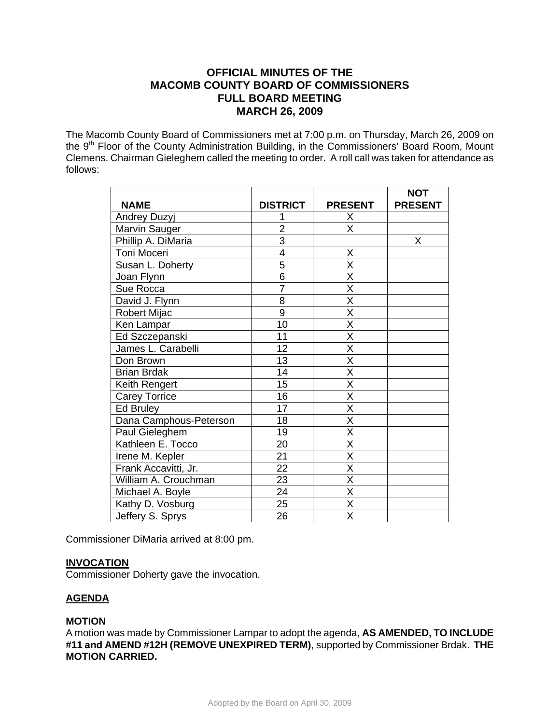# **OFFICIAL MINUTES OF THE MACOMB COUNTY BOARD OF COMMISSIONERS FULL BOARD MEETING MARCH 26, 2009**

The Macomb County Board of Commissioners met at 7:00 p.m. on Thursday, March 26, 2009 on the 9<sup>th</sup> Floor of the County Administration Building, in the Commissioners' Board Room, Mount Clemens. Chairman Gieleghem called the meeting to order. A roll call was taken for attendance as follows:

|                        |                 |                         | <b>NOT</b>     |
|------------------------|-----------------|-------------------------|----------------|
| <b>NAME</b>            | <b>DISTRICT</b> | <b>PRESENT</b>          | <b>PRESENT</b> |
| Andrey Duzyj           |                 | X                       |                |
| Marvin Sauger          | $\overline{2}$  | X                       |                |
| Phillip A. DiMaria     | $\overline{3}$  |                         | Χ              |
| Toni Moceri            | $\overline{4}$  | X                       |                |
| Susan L. Doherty       | $\overline{5}$  | X                       |                |
| Joan Flynn             | $\overline{6}$  | X                       |                |
| Sue Rocca              | $\overline{7}$  | $\overline{\mathsf{x}}$ |                |
| David J. Flynn         | 8               | X                       |                |
| Robert Mijac           | $\overline{9}$  | $\overline{\mathsf{x}}$ |                |
| Ken Lampar             | 10              | X                       |                |
| Ed Szczepanski         | 11              | $\overline{\mathsf{x}}$ |                |
| James L. Carabelli     | 12              | X                       |                |
| Don Brown              | 13              | $\overline{\mathsf{x}}$ |                |
| <b>Brian Brdak</b>     | 14              | $\overline{\mathsf{x}}$ |                |
| Keith Rengert          | 15              | $\overline{\mathsf{x}}$ |                |
| <b>Carey Torrice</b>   | 16              | $\overline{\mathsf{x}}$ |                |
| Ed Bruley              | 17              | $\overline{\mathsf{x}}$ |                |
| Dana Camphous-Peterson | 18              | $\overline{\mathsf{x}}$ |                |
| Paul Gieleghem         | 19              | X                       |                |
| Kathleen E. Tocco      | 20              | $\overline{\mathsf{x}}$ |                |
| Irene M. Kepler        | 21              | $\overline{\mathsf{X}}$ |                |
| Frank Accavitti, Jr.   | 22              | X                       |                |
| William A. Crouchman   | 23              | $\overline{\mathsf{x}}$ |                |
| Michael A. Boyle       | 24              | X                       |                |
| Kathy D. Vosburg       | 25              | $\overline{\mathsf{x}}$ |                |
| Jeffery S. Sprys       | 26              | X                       |                |

Commissioner DiMaria arrived at 8:00 pm.

## **INVOCATION**

Commissioner Doherty gave the invocation.

## **AGENDA**

#### **MOTION**

A motion was made by Commissioner Lampar to adopt the agenda, **AS AMENDED, TO INCLUDE #11 and AMEND #12H (REMOVE UNEXPIRED TERM)**, supported by Commissioner Brdak. **THE MOTION CARRIED.**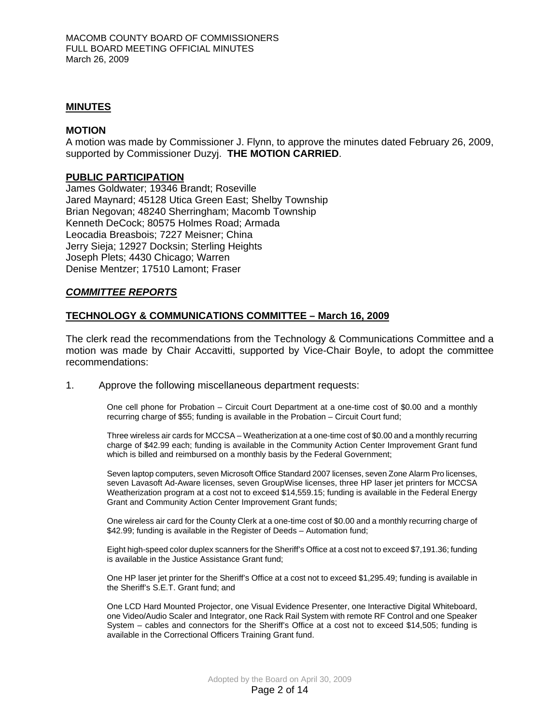#### **MINUTES**

#### **MOTION**

A motion was made by Commissioner J. Flynn, to approve the minutes dated February 26, 2009, supported by Commissioner Duzyj. **THE MOTION CARRIED**.

#### **PUBLIC PARTICIPATION**

James Goldwater; 19346 Brandt; Roseville Jared Maynard; 45128 Utica Green East; Shelby Township Brian Negovan; 48240 Sherringham; Macomb Township Kenneth DeCock; 80575 Holmes Road; Armada Leocadia Breasbois; 7227 Meisner; China Jerry Sieja; 12927 Docksin; Sterling Heights Joseph Plets; 4430 Chicago; Warren Denise Mentzer; 17510 Lamont; Fraser

#### *COMMITTEE REPORTS*

#### **TECHNOLOGY & COMMUNICATIONS COMMITTEE – March 16, 2009**

The clerk read the recommendations from the Technology & Communications Committee and a motion was made by Chair Accavitti, supported by Vice-Chair Boyle, to adopt the committee recommendations:

1. Approve the following miscellaneous department requests:

One cell phone for Probation – Circuit Court Department at a one-time cost of \$0.00 and a monthly recurring charge of \$55; funding is available in the Probation – Circuit Court fund;

Three wireless air cards for MCCSA – Weatherization at a one-time cost of \$0.00 and a monthly recurring charge of \$42.99 each; funding is available in the Community Action Center Improvement Grant fund which is billed and reimbursed on a monthly basis by the Federal Government;

Seven laptop computers, seven Microsoft Office Standard 2007 licenses, seven Zone Alarm Pro licenses, seven Lavasoft Ad-Aware licenses, seven GroupWise licenses, three HP laser jet printers for MCCSA Weatherization program at a cost not to exceed \$14,559.15; funding is available in the Federal Energy Grant and Community Action Center Improvement Grant funds;

One wireless air card for the County Clerk at a one-time cost of \$0.00 and a monthly recurring charge of \$42.99; funding is available in the Register of Deeds – Automation fund;

Eight high-speed color duplex scanners for the Sheriff's Office at a cost not to exceed \$7,191.36; funding is available in the Justice Assistance Grant fund;

One HP laser jet printer for the Sheriff's Office at a cost not to exceed \$1,295.49; funding is available in the Sheriff's S.E.T. Grant fund; and

One LCD Hard Mounted Projector, one Visual Evidence Presenter, one Interactive Digital Whiteboard, one Video/Audio Scaler and Integrator, one Rack Rail System with remote RF Control and one Speaker System – cables and connectors for the Sheriff's Office at a cost not to exceed \$14,505; funding is available in the Correctional Officers Training Grant fund.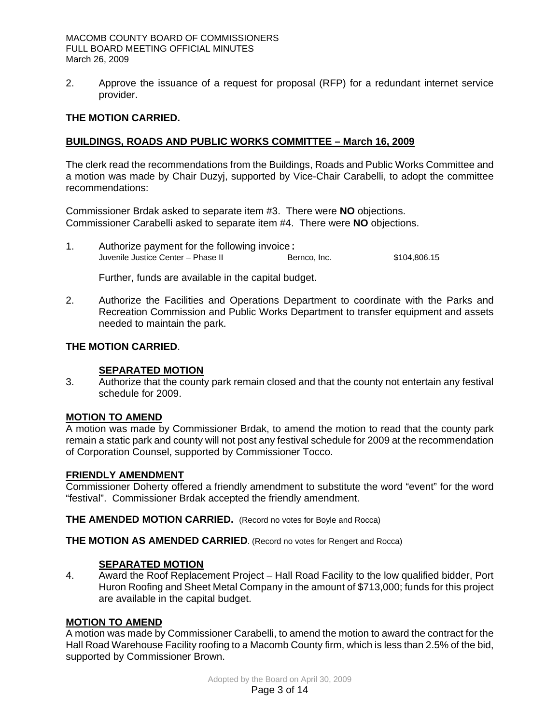2. Approve the issuance of a request for proposal (RFP) for a redundant internet service provider.

### **THE MOTION CARRIED.**

### **BUILDINGS, ROADS AND PUBLIC WORKS COMMITTEE – March 16, 2009**

The clerk read the recommendations from the Buildings, Roads and Public Works Committee and a motion was made by Chair Duzyj, supported by Vice-Chair Carabelli, to adopt the committee recommendations:

Commissioner Brdak asked to separate item #3. There were **NO** objections. Commissioner Carabelli asked to separate item #4. There were **NO** objections.

1. Authorize payment for the following invoice: Juvenile Justice Center – Phase II Bernco, Inc. \$104,806.15

Further, funds are available in the capital budget.

2. Authorize the Facilities and Operations Department to coordinate with the Parks and Recreation Commission and Public Works Department to transfer equipment and assets needed to maintain the park.

## **THE MOTION CARRIED**.

#### **SEPARATED MOTION**

3. Authorize that the county park remain closed and that the county not entertain any festival schedule for 2009.

#### **MOTION TO AMEND**

A motion was made by Commissioner Brdak, to amend the motion to read that the county park remain a static park and county will not post any festival schedule for 2009 at the recommendation of Corporation Counsel, supported by Commissioner Tocco.

#### **FRIENDLY AMENDMENT**

 Commissioner Doherty offered a friendly amendment to substitute the word "event" for the word "festival". Commissioner Brdak accepted the friendly amendment.

**THE AMENDED MOTION CARRIED.** (Record no votes for Boyle and Rocca)

**THE MOTION AS AMENDED CARRIED**. (Record no votes for Rengert and Rocca)

#### **SEPARATED MOTION**

4. Award the Roof Replacement Project – Hall Road Facility to the low qualified bidder, Port Huron Roofing and Sheet Metal Company in the amount of \$713,000; funds for this project are available in the capital budget.

#### **MOTION TO AMEND**

A motion was made by Commissioner Carabelli, to amend the motion to award the contract for the Hall Road Warehouse Facility roofing to a Macomb County firm, which is less than 2.5% of the bid, supported by Commissioner Brown.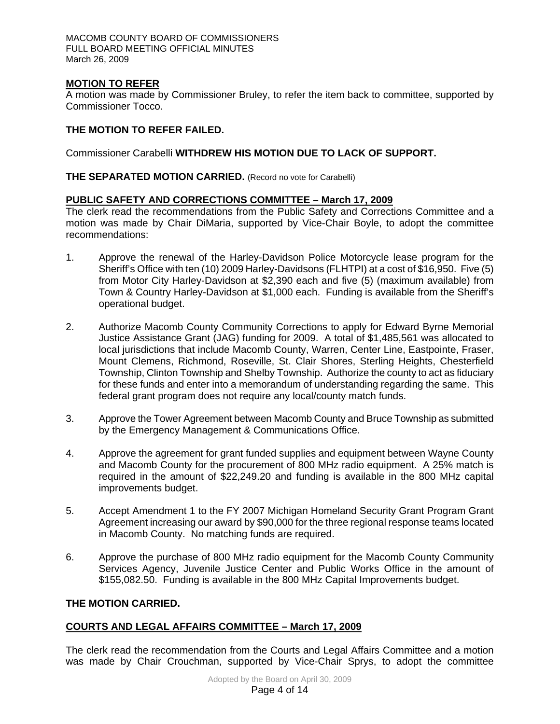## **MOTION TO REFER**

A motion was made by Commissioner Bruley, to refer the item back to committee, supported by Commissioner Tocco.

## **THE MOTION TO REFER FAILED.**

Commissioner Carabelli **WITHDREW HIS MOTION DUE TO LACK OF SUPPORT.** 

### **THE SEPARATED MOTION CARRIED.** (Record no vote for Carabelli)

## **PUBLIC SAFETY AND CORRECTIONS COMMITTEE – March 17, 2009**

The clerk read the recommendations from the Public Safety and Corrections Committee and a motion was made by Chair DiMaria, supported by Vice-Chair Boyle, to adopt the committee recommendations:

- 1. Approve the renewal of the Harley-Davidson Police Motorcycle lease program for the Sheriff's Office with ten (10) 2009 Harley-Davidsons (FLHTPI) at a cost of \$16,950. Five (5) from Motor City Harley-Davidson at \$2,390 each and five (5) (maximum available) from Town & Country Harley-Davidson at \$1,000 each. Funding is available from the Sheriff's operational budget.
- 2. Authorize Macomb County Community Corrections to apply for Edward Byrne Memorial Justice Assistance Grant (JAG) funding for 2009. A total of \$1,485,561 was allocated to local jurisdictions that include Macomb County, Warren, Center Line, Eastpointe, Fraser, Mount Clemens, Richmond, Roseville, St. Clair Shores, Sterling Heights, Chesterfield Township, Clinton Township and Shelby Township. Authorize the county to act as fiduciary for these funds and enter into a memorandum of understanding regarding the same. This federal grant program does not require any local/county match funds.
- 3. Approve the Tower Agreement between Macomb County and Bruce Township as submitted by the Emergency Management & Communications Office.
- 4. Approve the agreement for grant funded supplies and equipment between Wayne County and Macomb County for the procurement of 800 MHz radio equipment. A 25% match is required in the amount of \$22,249.20 and funding is available in the 800 MHz capital improvements budget.
- 5. Accept Amendment 1 to the FY 2007 Michigan Homeland Security Grant Program Grant Agreement increasing our award by \$90,000 for the three regional response teams located in Macomb County. No matching funds are required.
- 6. Approve the purchase of 800 MHz radio equipment for the Macomb County Community Services Agency, Juvenile Justice Center and Public Works Office in the amount of \$155,082.50. Funding is available in the 800 MHz Capital Improvements budget.

## **THE MOTION CARRIED.**

## **COURTS AND LEGAL AFFAIRS COMMITTEE – March 17, 2009**

The clerk read the recommendation from the Courts and Legal Affairs Committee and a motion was made by Chair Crouchman, supported by Vice-Chair Sprys, to adopt the committee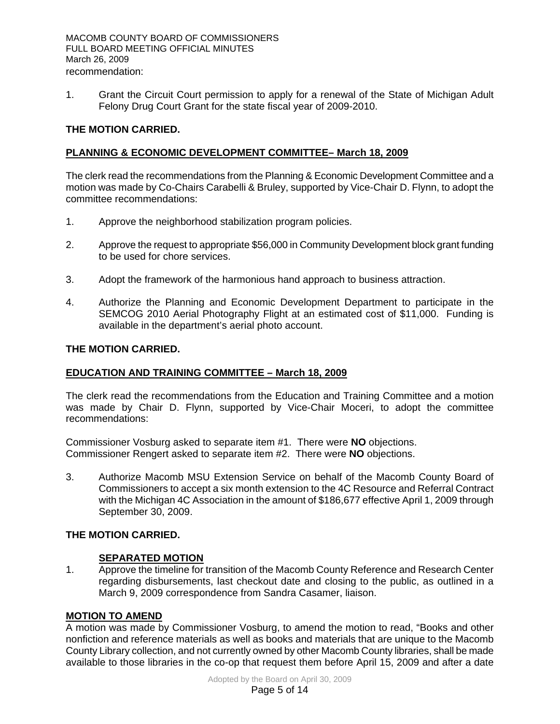MACOMB COUNTY BOARD OF COMMISSIONERS FULL BOARD MEETING OFFICIAL MINUTES March 26, 2009 recommendation:

1. Grant the Circuit Court permission to apply for a renewal of the State of Michigan Adult Felony Drug Court Grant for the state fiscal year of 2009-2010.

# **THE MOTION CARRIED.**

### **PLANNING & ECONOMIC DEVELOPMENT COMMITTEE– March 18, 2009**

The clerk read the recommendations from the Planning & Economic Development Committee and a motion was made by Co-Chairs Carabelli & Bruley, supported by Vice-Chair D. Flynn, to adopt the committee recommendations:

- 1. Approve the neighborhood stabilization program policies.
- 2. Approve the request to appropriate \$56,000 in Community Development block grant funding to be used for chore services.
- 3. Adopt the framework of the harmonious hand approach to business attraction.
- 4. Authorize the Planning and Economic Development Department to participate in the SEMCOG 2010 Aerial Photography Flight at an estimated cost of \$11,000. Funding is available in the department's aerial photo account.

### **THE MOTION CARRIED.**

#### **EDUCATION AND TRAINING COMMITTEE – March 18, 2009**

The clerk read the recommendations from the Education and Training Committee and a motion was made by Chair D. Flynn, supported by Vice-Chair Moceri, to adopt the committee recommendations:

Commissioner Vosburg asked to separate item #1. There were **NO** objections. Commissioner Rengert asked to separate item #2. There were **NO** objections.

3. Authorize Macomb MSU Extension Service on behalf of the Macomb County Board of Commissioners to accept a six month extension to the 4C Resource and Referral Contract with the Michigan 4C Association in the amount of \$186,677 effective April 1, 2009 through September 30, 2009.

# **THE MOTION CARRIED.**

#### **SEPARATED MOTION**

1. Approve the timeline for transition of the Macomb County Reference and Research Center regarding disbursements, last checkout date and closing to the public, as outlined in a March 9, 2009 correspondence from Sandra Casamer, liaison.

## **MOTION TO AMEND**

A motion was made by Commissioner Vosburg, to amend the motion to read, "Books and other nonfiction and reference materials as well as books and materials that are unique to the Macomb County Library collection, and not currently owned by other Macomb County libraries, shall be made available to those libraries in the co-op that request them before April 15, 2009 and after a date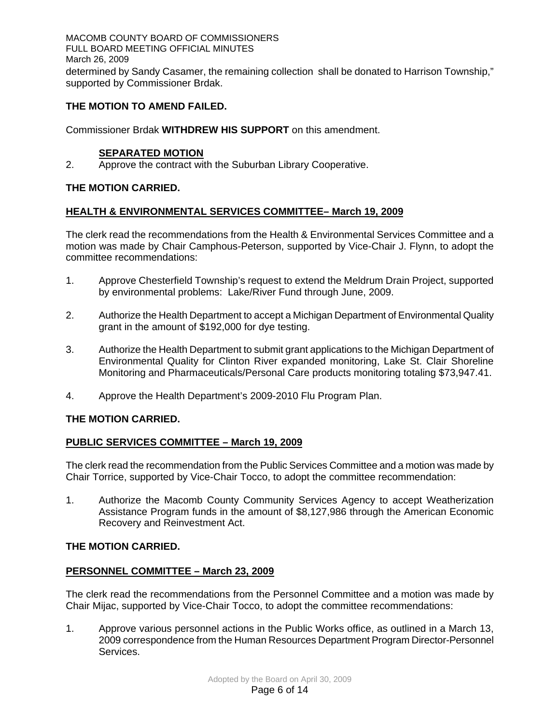MACOMB COUNTY BOARD OF COMMISSIONERS FULL BOARD MEETING OFFICIAL MINUTES March 26, 2009 determined by Sandy Casamer, the remaining collection shall be donated to Harrison Township," supported by Commissioner Brdak.

## **THE MOTION TO AMEND FAILED.**

Commissioner Brdak **WITHDREW HIS SUPPORT** on this amendment.

# **SEPARATED MOTION**

2. Approve the contract with the Suburban Library Cooperative.

# **THE MOTION CARRIED.**

# **HEALTH & ENVIRONMENTAL SERVICES COMMITTEE– March 19, 2009**

The clerk read the recommendations from the Health & Environmental Services Committee and a motion was made by Chair Camphous-Peterson, supported by Vice-Chair J. Flynn, to adopt the committee recommendations:

- 1. Approve Chesterfield Township's request to extend the Meldrum Drain Project, supported by environmental problems: Lake/River Fund through June, 2009.
- 2. Authorize the Health Department to accept a Michigan Department of Environmental Quality grant in the amount of \$192,000 for dye testing.
- 3. Authorize the Health Department to submit grant applications to the Michigan Department of Environmental Quality for Clinton River expanded monitoring, Lake St. Clair Shoreline Monitoring and Pharmaceuticals/Personal Care products monitoring totaling \$73,947.41.
- 4. Approve the Health Department's 2009-2010 Flu Program Plan.

# **THE MOTION CARRIED.**

# **PUBLIC SERVICES COMMITTEE – March 19, 2009**

The clerk read the recommendation from the Public Services Committee and a motion was made by Chair Torrice, supported by Vice-Chair Tocco, to adopt the committee recommendation:

1. Authorize the Macomb County Community Services Agency to accept Weatherization Assistance Program funds in the amount of \$8,127,986 through the American Economic Recovery and Reinvestment Act.

## **THE MOTION CARRIED.**

## **PERSONNEL COMMITTEE – March 23, 2009**

The clerk read the recommendations from the Personnel Committee and a motion was made by Chair Mijac, supported by Vice-Chair Tocco, to adopt the committee recommendations:

1. Approve various personnel actions in the Public Works office, as outlined in a March 13, 2009 correspondence from the Human Resources Department Program Director-Personnel Services.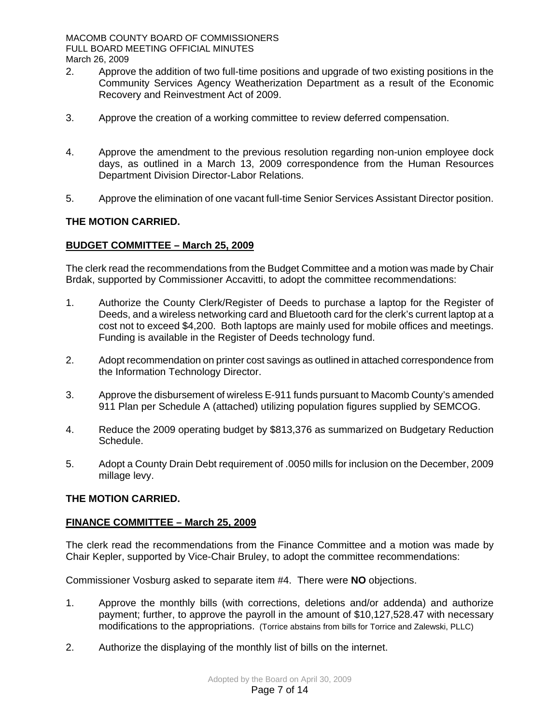- 2. Approve the addition of two full-time positions and upgrade of two existing positions in the Community Services Agency Weatherization Department as a result of the Economic Recovery and Reinvestment Act of 2009.
- 3. Approve the creation of a working committee to review deferred compensation.
- 4. Approve the amendment to the previous resolution regarding non-union employee dock days, as outlined in a March 13, 2009 correspondence from the Human Resources Department Division Director-Labor Relations.
- 5. Approve the elimination of one vacant full-time Senior Services Assistant Director position.

# **THE MOTION CARRIED.**

## **BUDGET COMMITTEE – March 25, 2009**

The clerk read the recommendations from the Budget Committee and a motion was made by Chair Brdak, supported by Commissioner Accavitti, to adopt the committee recommendations:

- 1. Authorize the County Clerk/Register of Deeds to purchase a laptop for the Register of Deeds, and a wireless networking card and Bluetooth card for the clerk's current laptop at a cost not to exceed \$4,200. Both laptops are mainly used for mobile offices and meetings. Funding is available in the Register of Deeds technology fund.
- 2. Adopt recommendation on printer cost savings as outlined in attached correspondence from the Information Technology Director.
- 3. Approve the disbursement of wireless E-911 funds pursuant to Macomb County's amended 911 Plan per Schedule A (attached) utilizing population figures supplied by SEMCOG.
- 4. Reduce the 2009 operating budget by \$813,376 as summarized on Budgetary Reduction Schedule.
- 5. Adopt a County Drain Debt requirement of .0050 mills for inclusion on the December, 2009 millage levy.

## **THE MOTION CARRIED.**

## **FINANCE COMMITTEE – March 25, 2009**

The clerk read the recommendations from the Finance Committee and a motion was made by Chair Kepler, supported by Vice-Chair Bruley, to adopt the committee recommendations:

Commissioner Vosburg asked to separate item #4. There were **NO** objections.

- 1. Approve the monthly bills (with corrections, deletions and/or addenda) and authorize payment; further, to approve the payroll in the amount of \$10,127,528.47 with necessary modifications to the appropriations. (Torrice abstains from bills for Torrice and Zalewski, PLLC)
- 2. Authorize the displaying of the monthly list of bills on the internet.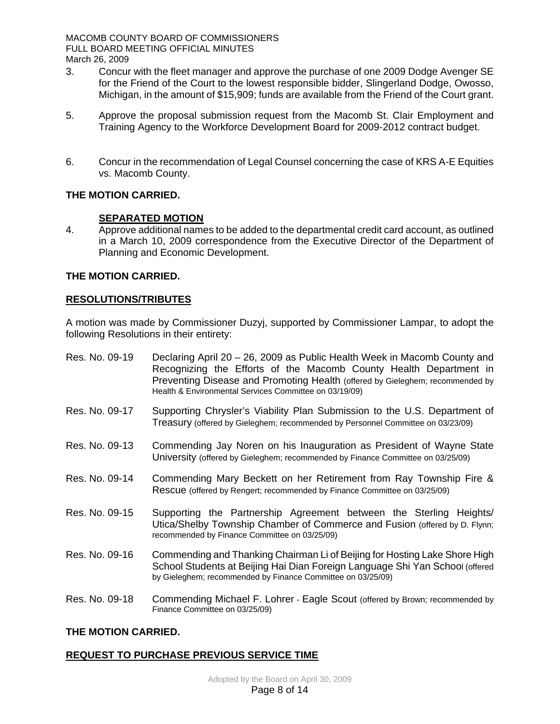- 3. Concur with the fleet manager and approve the purchase of one 2009 Dodge Avenger SE for the Friend of the Court to the lowest responsible bidder, Slingerland Dodge, Owosso, Michigan, in the amount of \$15,909; funds are available from the Friend of the Court grant.
- 5. Approve the proposal submission request from the Macomb St. Clair Employment and Training Agency to the Workforce Development Board for 2009-2012 contract budget.
- 6. Concur in the recommendation of Legal Counsel concerning the case of KRS A-E Equities vs. Macomb County.

## **THE MOTION CARRIED.**

## **SEPARATED MOTION**

4. Approve additional names to be added to the departmental credit card account, as outlined in a March 10, 2009 correspondence from the Executive Director of the Department of Planning and Economic Development.

# **THE MOTION CARRIED.**

## **RESOLUTIONS/TRIBUTES**

A motion was made by Commissioner Duzyj, supported by Commissioner Lampar, to adopt the following Resolutions in their entirety:

| Res. No. 09-19 | Declaring April 20 – 26, 2009 as Public Health Week in Macomb County and<br>Recognizing the Efforts of the Macomb County Health Department in<br>Preventing Disease and Promoting Health (offered by Gieleghem; recommended by<br>Health & Environmental Services Committee on 03/19/09) |
|----------------|------------------------------------------------------------------------------------------------------------------------------------------------------------------------------------------------------------------------------------------------------------------------------------------|
| Res. No. 09-17 | Supporting Chrysler's Viability Plan Submission to the U.S. Department of<br>Treasury (offered by Gieleghem; recommended by Personnel Committee on 03/23/09)                                                                                                                             |
| Res. No. 09-13 | Commending Jay Noren on his Inauguration as President of Wayne State<br>University (offered by Gieleghem; recommended by Finance Committee on 03/25/09)                                                                                                                                  |
| Res. No. 09-14 | Commending Mary Beckett on her Retirement from Ray Township Fire &<br>Rescue (offered by Rengert; recommended by Finance Committee on 03/25/09)                                                                                                                                          |
| Res. No. 09-15 | Supporting the Partnership Agreement between the Sterling Heights/<br>Utica/Shelby Township Chamber of Commerce and Fusion (offered by D. Flynn;<br>recommended by Finance Committee on 03/25/09)                                                                                        |
| Res. No. 09-16 | Commending and Thanking Chairman Li of Beijing for Hosting Lake Shore High<br>School Students at Beijing Hai Dian Foreign Language Shi Yan School (offered<br>by Gieleghem; recommended by Finance Committee on 03/25/09)                                                                |
| Res. No. 09-18 | Commending Michael F. Lohrer - Eagle Scout (offered by Brown; recommended by<br>Finance Committee on 03/25/09)                                                                                                                                                                           |

## **THE MOTION CARRIED.**

# **REQUEST TO PURCHASE PREVIOUS SERVICE TIME**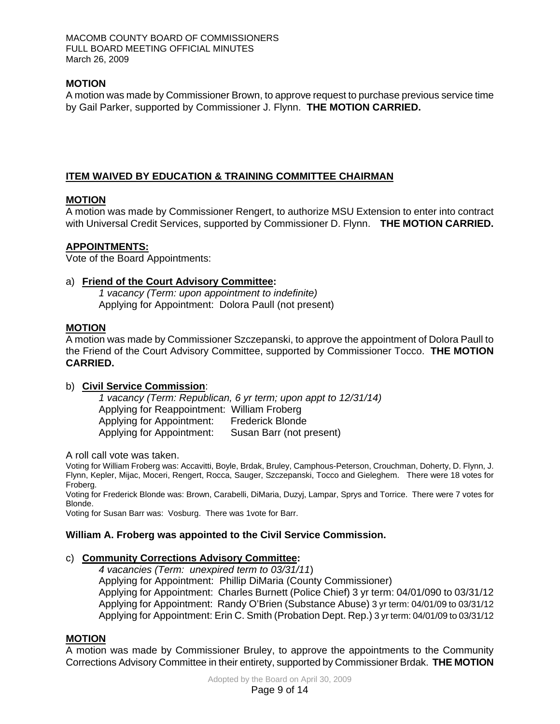## **MOTION**

A motion was made by Commissioner Brown, to approve request to purchase previous service time by Gail Parker, supported by Commissioner J. Flynn. **THE MOTION CARRIED.** 

### **ITEM WAIVED BY EDUCATION & TRAINING COMMITTEE CHAIRMAN**

#### **MOTION**

A motion was made by Commissioner Rengert, to authorize MSU Extension to enter into contract with Universal Credit Services, supported by Commissioner D. Flynn. **THE MOTION CARRIED.** 

#### **APPOINTMENTS:**

Vote of the Board Appointments:

#### a) **Friend of the Court Advisory Committee:**

 *1 vacancy (Term: upon appointment to indefinite)*  Applying for Appointment: Dolora Paull (not present)

#### **MOTION**

A motion was made by Commissioner Szczepanski, to approve the appointment of Dolora Paull to the Friend of the Court Advisory Committee, supported by Commissioner Tocco. **THE MOTION CARRIED.** 

#### b) **Civil Service Commission**:

*1 vacancy (Term: Republican, 6 yr term; upon appt to 12/31/14)*  Applying for Reappointment: William Froberg Applying for Appointment: Frederick Blonde Applying for Appointment: Susan Barr (not present)

A roll call vote was taken.

Voting for William Froberg was: Accavitti, Boyle, Brdak, Bruley, Camphous-Peterson, Crouchman, Doherty, D. Flynn, J. Flynn, Kepler, Mijac, Moceri, Rengert, Rocca, Sauger, Szczepanski, Tocco and Gieleghem. There were 18 votes for Froberg.

Voting for Frederick Blonde was: Brown, Carabelli, DiMaria, Duzyj, Lampar, Sprys and Torrice. There were 7 votes for Blonde.

Voting for Susan Barr was: Vosburg. There was 1vote for Barr.

#### **William A. Froberg was appointed to the Civil Service Commission.**

### c) **Community Corrections Advisory Committee:**

 *4 vacancies (Term: unexpired term to 03/31/11*)

Applying for Appointment: Phillip DiMaria (County Commissioner)

Applying for Appointment: Charles Burnett (Police Chief) 3 yr term: 04/01/090 to 03/31/12 Applying for Appointment: Randy O'Brien (Substance Abuse) 3 yr term: 04/01/09 to 03/31/12 Applying for Appointment: Erin C. Smith (Probation Dept. Rep.) 3 yr term: 04/01/09 to 03/31/12

#### **MOTION**

A motion was made by Commissioner Bruley, to approve the appointments to the Community Corrections Advisory Committee in their entirety, supported by Commissioner Brdak. **THE MOTION**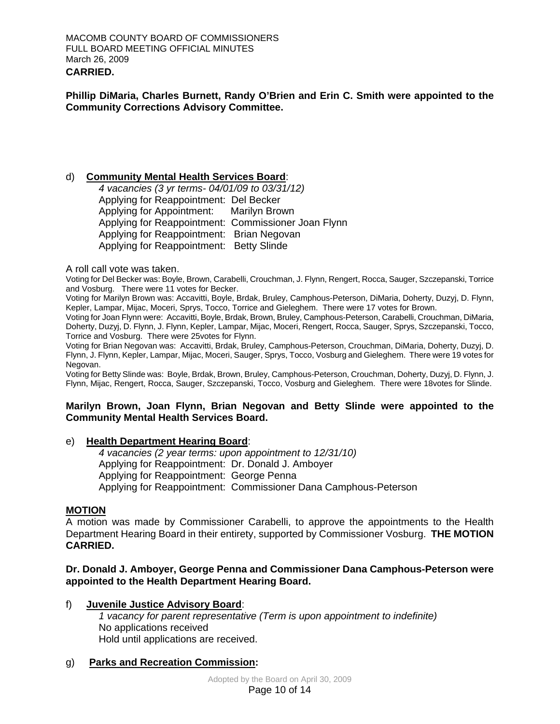**Phillip DiMaria, Charles Burnett, Randy O'Brien and Erin C. Smith were appointed to the Community Corrections Advisory Committee.** 

### d) **Community Mental Health Services Board**:

*4 vacancies (3 yr terms- 04/01/09 to 03/31/12)*  Applying for Reappointment: Del Becker Applying for Appointment: Marilyn Brown Applying for Reappointment: Commissioner Joan Flynn Applying for Reappointment: Brian Negovan Applying for Reappointment: Betty Slinde

#### A roll call vote was taken.

Voting for Del Becker was: Boyle, Brown, Carabelli, Crouchman, J. Flynn, Rengert, Rocca, Sauger, Szczepanski, Torrice and Vosburg. There were 11 votes for Becker.

Voting for Marilyn Brown was: Accavitti, Boyle, Brdak, Bruley, Camphous-Peterson, DiMaria, Doherty, Duzyj, D. Flynn, Kepler, Lampar, Mijac, Moceri, Sprys, Tocco, Torrice and Gieleghem. There were 17 votes for Brown.

Voting for Joan Flynn were: Accavitti, Boyle, Brdak, Brown, Bruley, Camphous-Peterson, Carabelli, Crouchman, DiMaria, Doherty, Duzyj, D. Flynn, J. Flynn, Kepler, Lampar, Mijac, Moceri, Rengert, Rocca, Sauger, Sprys, Szczepanski, Tocco, Torrice and Vosburg. There were 25votes for Flynn.

Voting for Brian Negovan was: Accavitti, Brdak, Bruley, Camphous-Peterson, Crouchman, DiMaria, Doherty, Duzyj, D. Flynn, J. Flynn, Kepler, Lampar, Mijac, Moceri, Sauger, Sprys, Tocco, Vosburg and Gieleghem. There were 19 votes for Negovan.

Voting for Betty Slinde was: Boyle, Brdak, Brown, Bruley, Camphous-Peterson, Crouchman, Doherty, Duzyj, D. Flynn, J. Flynn, Mijac, Rengert, Rocca, Sauger, Szczepanski, Tocco, Vosburg and Gieleghem. There were 18votes for Slinde.

#### **Marilyn Brown, Joan Flynn, Brian Negovan and Betty Slinde were appointed to the Community Mental Health Services Board.**

#### e) **Health Department Hearing Board**:

*4 vacancies (2 year terms: upon appointment to 12/31/10)*  Applying for Reappointment: Dr. Donald J. Amboyer Applying for Reappointment: George Penna Applying for Reappointment: Commissioner Dana Camphous-Peterson

#### **MOTION**

A motion was made by Commissioner Carabelli, to approve the appointments to the Health Department Hearing Board in their entirety, supported by Commissioner Vosburg. **THE MOTION CARRIED.** 

### **Dr. Donald J. Amboyer, George Penna and Commissioner Dana Camphous-Peterson were appointed to the Health Department Hearing Board.**

#### f) **Juvenile Justice Advisory Board**:

*1 vacancy for parent representative (Term is upon appointment to indefinite)*  No applications received Hold until applications are received.

#### g) **Parks and Recreation Commission:**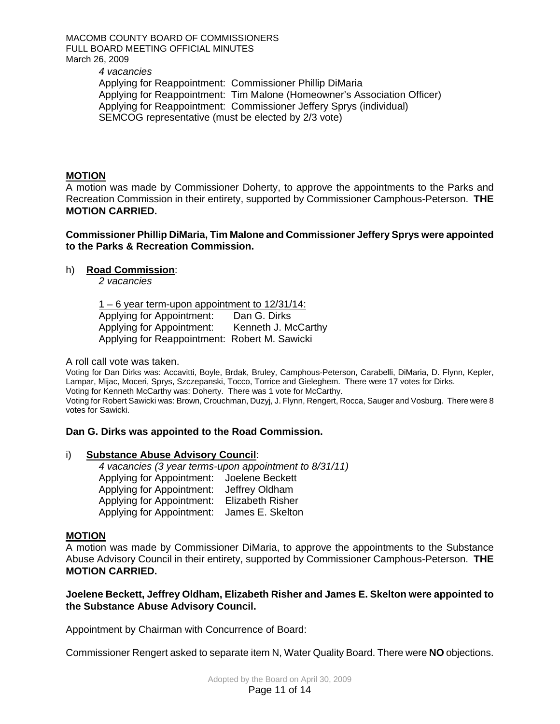#### *4 vacancies*  Applying for Reappointment: Commissioner Phillip DiMaria Applying for Reappointment: Tim Malone (Homeowner's Association Officer) Applying for Reappointment: Commissioner Jeffery Sprys (individual) SEMCOG representative (must be elected by 2/3 vote)

### **MOTION**

A motion was made by Commissioner Doherty, to approve the appointments to the Parks and Recreation Commission in their entirety, supported by Commissioner Camphous-Peterson. **THE MOTION CARRIED.** 

#### **Commissioner Phillip DiMaria, Tim Malone and Commissioner Jeffery Sprys were appointed to the Parks & Recreation Commission.**

### h) **Road Commission**:

*2 vacancies* 

1 – 6 year term-upon appointment to 12/31/14: Applying for Appointment: Dan G. Dirks Applying for Appointment: Kenneth J. McCarthy Applying for Reappointment: Robert M. Sawicki

A roll call vote was taken.

Voting for Dan Dirks was: Accavitti, Boyle, Brdak, Bruley, Camphous-Peterson, Carabelli, DiMaria, D. Flynn, Kepler, Lampar, Mijac, Moceri, Sprys, Szczepanski, Tocco, Torrice and Gieleghem. There were 17 votes for Dirks. Voting for Kenneth McCarthy was: Doherty. There was 1 vote for McCarthy. Voting for Robert Sawicki was: Brown, Crouchman, Duzyj, J. Flynn, Rengert, Rocca, Sauger and Vosburg. There were 8 votes for Sawicki.

## **Dan G. Dirks was appointed to the Road Commission.**

#### i) **Substance Abuse Advisory Council**:

*4 vacancies (3 year terms-upon appointment to 8/31/11)*  Applying for Appointment: Joelene Beckett Applying for Appointment: Jeffrey Oldham Applying for Appointment: Elizabeth Risher Applying for Appointment: James E. Skelton

## **MOTION**

A motion was made by Commissioner DiMaria, to approve the appointments to the Substance Abuse Advisory Council in their entirety, supported by Commissioner Camphous-Peterson. **THE MOTION CARRIED.** 

### **Joelene Beckett, Jeffrey Oldham, Elizabeth Risher and James E. Skelton were appointed to the Substance Abuse Advisory Council.**

Appointment by Chairman with Concurrence of Board:

Commissioner Rengert asked to separate item N, Water Quality Board. There were **NO** objections.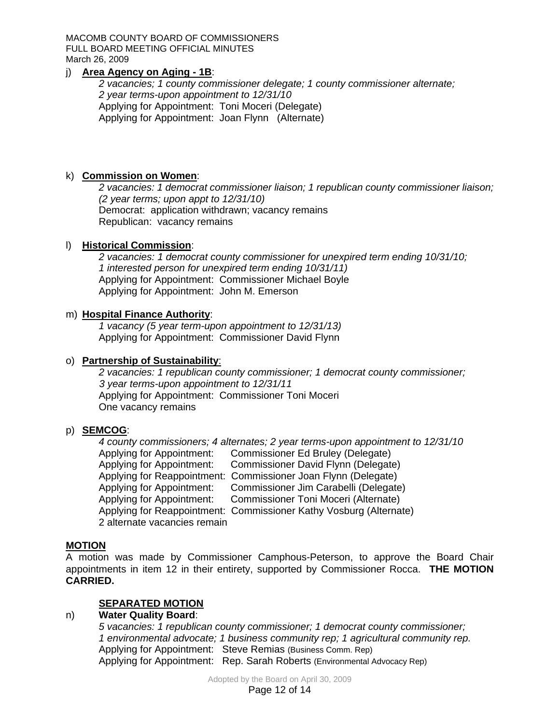#### j) **Area Agency on Aging - 1B**:

 *2 vacancies; 1 county commissioner delegate; 1 county commissioner alternate; 2 year terms-upon appointment to 12/31/10*  Applying for Appointment: Toni Moceri (Delegate) Applying for Appointment: Joan Flynn (Alternate)

## k) **Commission on Women**:

 *2 vacancies: 1 democrat commissioner liaison; 1 republican county commissioner liaison; (2 year terms; upon appt to 12/31/10)*  Democrat: application withdrawn; vacancy remains Republican: vacancy remains

### l) **Historical Commission**:

 *2 vacancies: 1 democrat county commissioner for unexpired term ending 10/31/10; 1 interested person for unexpired term ending 10/31/11)*  Applying for Appointment: Commissioner Michael Boyle Applying for Appointment: John M. Emerson

## m) **Hospital Finance Authority**:

 *1 vacancy (5 year term-upon appointment to 12/31/13)*  Applying for Appointment: Commissioner David Flynn

### o) **Partnership of Sustainability**:

*2 vacancies: 1 republican county commissioner; 1 democrat county commissioner; 3 year terms-upon appointment to 12/31/11*  Applying for Appointment: Commissioner Toni Moceri One vacancy remains

## p) **SEMCOG**:

 *4 county commissioners; 4 alternates; 2 year terms-upon appointment to 12/31/10*  Commissioner Ed Bruley (Delegate) Applying for Appointment: Commissioner David Flynn (Delegate) Applying for Reappointment: Commissioner Joan Flynn (Delegate) Applying for Appointment: Commissioner Jim Carabelli (Delegate) Applying for Appointment: Commissioner Toni Moceri (Alternate) Applying for Reappointment: Commissioner Kathy Vosburg (Alternate) 2 alternate vacancies remain

## **MOTION**

A motion was made by Commissioner Camphous-Peterson, to approve the Board Chair appointments in item 12 in their entirety, supported by Commissioner Rocca. **THE MOTION CARRIED.** 

### **SEPARATED MOTION**

# n) **Water Quality Board**:

*5 vacancies: 1 republican county commissioner; 1 democrat county commissioner; 1 environmental advocate; 1 business community rep; 1 agricultural community rep.*  Applying for Appointment: Steve Remias (Business Comm. Rep) Applying for Appointment: Rep. Sarah Roberts (Environmental Advocacy Rep)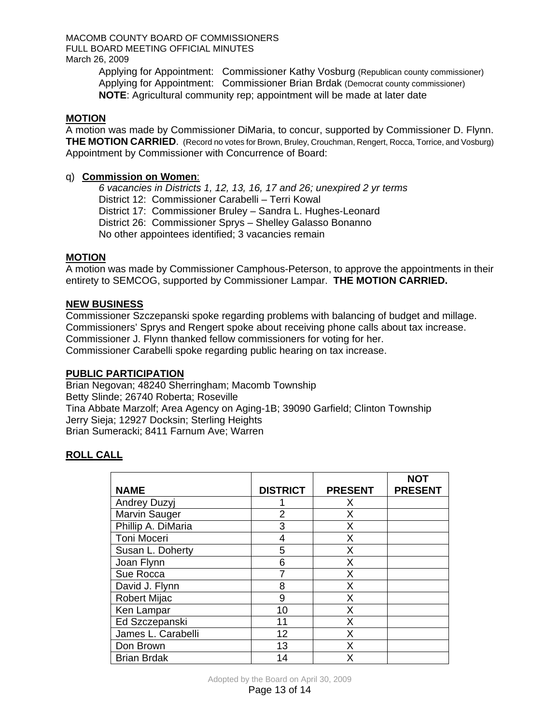Applying for Appointment: Commissioner Kathy Vosburg (Republican county commissioner) Applying for Appointment: Commissioner Brian Brdak (Democrat county commissioner) **NOTE**: Agricultural community rep; appointment will be made at later date

### **MOTION**

A motion was made by Commissioner DiMaria, to concur, supported by Commissioner D. Flynn. **THE MOTION CARRIED**. (Record no votes for Brown, Bruley, Crouchman, Rengert, Rocca, Torrice, and Vosburg) Appointment by Commissioner with Concurrence of Board:

### q) **Commission on Women**:

*6 vacancies in Districts 1, 12, 13, 16, 17 and 26; unexpired 2 yr terms*  District 12: Commissioner Carabelli – Terri Kowal District 17: Commissioner Bruley – Sandra L. Hughes-Leonard District 26: Commissioner Sprys – Shelley Galasso Bonanno No other appointees identified; 3 vacancies remain

#### **MOTION**

A motion was made by Commissioner Camphous-Peterson, to approve the appointments in their entirety to SEMCOG, supported by Commissioner Lampar. **THE MOTION CARRIED.** 

### **NEW BUSINESS**

Commissioner Szczepanski spoke regarding problems with balancing of budget and millage. Commissioners' Sprys and Rengert spoke about receiving phone calls about tax increase. Commissioner J. Flynn thanked fellow commissioners for voting for her. Commissioner Carabelli spoke regarding public hearing on tax increase.

#### **PUBLIC PARTICIPATION**

Brian Negovan; 48240 Sherringham; Macomb Township Betty Slinde; 26740 Roberta; Roseville Tina Abbate Marzolf; Area Agency on Aging-1B; 39090 Garfield; Clinton Township Jerry Sieja; 12927 Docksin; Sterling Heights Brian Sumeracki; 8411 Farnum Ave; Warren

## **ROLL CALL**

|                     |                 |                | <b>NOT</b>     |
|---------------------|-----------------|----------------|----------------|
| <b>NAME</b>         | <b>DISTRICT</b> | <b>PRESENT</b> | <b>PRESENT</b> |
| Andrey Duzyj        |                 | X              |                |
| Marvin Sauger       | 2               | X              |                |
| Phillip A. DiMaria  | 3               | Χ              |                |
| <b>Toni Moceri</b>  | 4               | Χ              |                |
| Susan L. Doherty    | 5               | X              |                |
| Joan Flynn          | 6               | Χ              |                |
| Sue Rocca           |                 | Χ              |                |
| David J. Flynn      | 8               | X              |                |
| <b>Robert Mijac</b> | 9               | Χ              |                |
| Ken Lampar          | 10              | Χ              |                |
| Ed Szczepanski      | 11              | X              |                |
| James L. Carabelli  | 12              | Χ              |                |
| Don Brown           | 13              | x              |                |
| <b>Brian Brdak</b>  | 14              | χ              |                |

Adopted by the Board on April 30, 2009